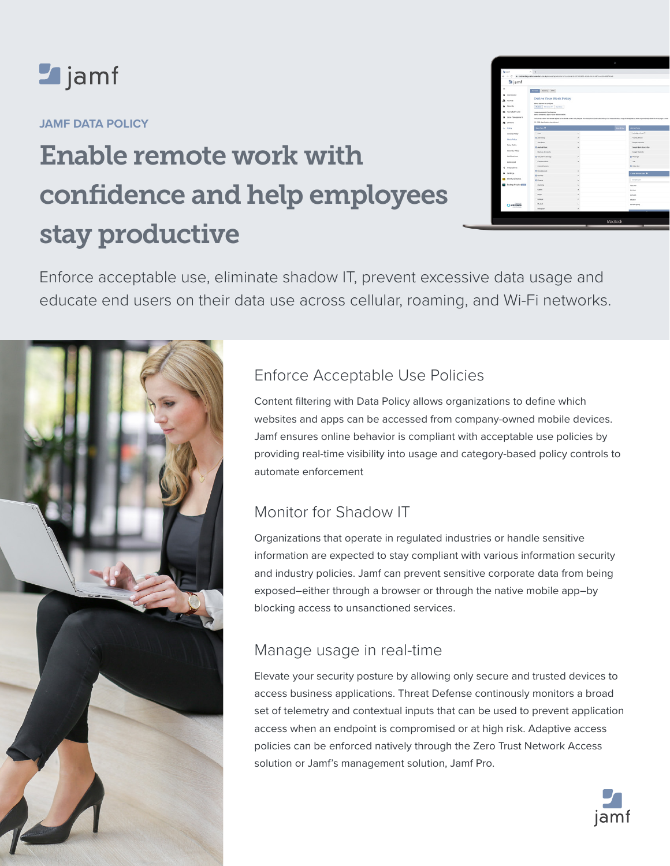

## **JAMF DATA POLICY**

# Enable remote work with confidence and help employees stay productive

| <b>St Juni</b><br>÷<br>c      | $x +$                                                                             | * cobracting-radacamders.co.al/accom/applications?customent=1030303-4006-4009-3712-e08848303030 |                                                                                                                                                                                                     |
|-------------------------------|-----------------------------------------------------------------------------------|-------------------------------------------------------------------------------------------------|-----------------------------------------------------------------------------------------------------------------------------------------------------------------------------------------------------|
| <b>Sajamf</b>                 |                                                                                   |                                                                                                 |                                                                                                                                                                                                     |
| $\blacksquare$                | Reache WPL                                                                        |                                                                                                 |                                                                                                                                                                                                     |
| Coshboard<br>×.               |                                                                                   |                                                                                                 |                                                                                                                                                                                                     |
| 乌<br>Anness                   | Define Your Block Policy                                                          |                                                                                                 |                                                                                                                                                                                                     |
| <b>Security</b>               | <b>Select platform in configure</b>                                               |                                                                                                 |                                                                                                                                                                                                     |
|                               | MAD: Modern W. Aprillon                                                           |                                                                                                 |                                                                                                                                                                                                     |
| Acceptable Use                | Leasures, Ann & Cheefsotters<br>liabed categories, apply or sites to bidde below. |                                                                                                 |                                                                                                                                                                                                     |
| <b>Colo Monagement</b><br>٠   |                                                                                   |                                                                                                 | The configuration hara will be applied to all cleveles urban they are part of a Group with customane settings, Air interviewing may be configured by selecting the Group name in the top Aph Canaas |
| Cevroes                       | 10.1536 classification releasible held                                            |                                                                                                 |                                                                                                                                                                                                     |
| t. Poley                      | <b>Sold Ave Of</b>                                                                |                                                                                                 | Abrest East<br><b>Second</b>                                                                                                                                                                        |
| Access Policy                 | <b>Adult</b>                                                                      | $\lambda$                                                                                       | Atturbure times ()                                                                                                                                                                                  |
| <b>Bock Police</b>            | <b>B</b> Adversing                                                                | ,                                                                                               | Fed My Phone                                                                                                                                                                                        |
|                               | App forms                                                                         | ٠                                                                                               | <b>Documentos</b>                                                                                                                                                                                   |
| <b>Colo Policy</b>            | <b>B</b> Auto Effusio                                                             | ٠                                                                                               | Geogle Back Scoret-Box                                                                                                                                                                              |
| <b>Security Policy</b>        | <b>Business &amp; industry</b>                                                    |                                                                                                 | <b>Conside Transitions</b>                                                                                                                                                                          |
| No/Fosters                    | <b>B</b> Court & Fix Strenge                                                      | ï                                                                                               | <b>G Manage</b>                                                                                                                                                                                     |
| Advanced                      | CARPENTHERE.                                                                      | ٠                                                                                               | 1.008                                                                                                                                                                                               |
| < http://www.                 | Content Senery                                                                    |                                                                                                 | <b>G Office Ints</b>                                                                                                                                                                                |
|                               | <b>B</b> fateways                                                                 |                                                                                                 |                                                                                                                                                                                                     |
| <b>Settings</b>               | <b>B</b> Green                                                                    |                                                                                                 | <b>CASE BOOM SALE</b>                                                                                                                                                                               |
| <b>MI RAM AnalySca</b>        | <b>IS Fromm</b>                                                                   |                                                                                                 | exercise con-                                                                                                                                                                                       |
| <b>Rading Analytics (FTF)</b> | Garmen                                                                            |                                                                                                 | Tera com                                                                                                                                                                                            |
|                               | <b>CARDS</b>                                                                      |                                                                                                 | <b>Britain</b>                                                                                                                                                                                      |
|                               | <b>Bryst</b>                                                                      |                                                                                                 | <b>Jorkson</b>                                                                                                                                                                                      |
| Owandero                      | <b>Steam</b>                                                                      |                                                                                                 | discor                                                                                                                                                                                              |
|                               | Motival                                                                           |                                                                                                 | sonahirgang                                                                                                                                                                                         |
|                               | Nevigation                                                                        | ×                                                                                               |                                                                                                                                                                                                     |
|                               |                                                                                   |                                                                                                 |                                                                                                                                                                                                     |
|                               |                                                                                   |                                                                                                 |                                                                                                                                                                                                     |

Enforce acceptable use, eliminate shadow IT, prevent excessive data usage and educate end users on their data use across cellular, roaming, and Wi-Fi networks.



# Enforce Acceptable Use Policies

Content filtering with Data Policy allows organizations to define which websites and apps can be accessed from company-owned mobile devices. Jamf ensures online behavior is compliant with acceptable use policies by providing real-time visibility into usage and category-based policy controls to automate enforcement

# Monitor for Shadow IT

Organizations that operate in regulated industries or handle sensitive information are expected to stay compliant with various information security and industry policies. Jamf can prevent sensitive corporate data from being exposed–either through a browser or through the native mobile app–by blocking access to unsanctioned services.

## Manage usage in real-time

Elevate your security posture by allowing only secure and trusted devices to access business applications. Threat Defense continously monitors a broad set of telemetry and contextual inputs that can be used to prevent application access when an endpoint is compromised or at high risk. Adaptive access policies can be enforced natively through the Zero Trust Network Access solution or Jamf's management solution, Jamf Pro.